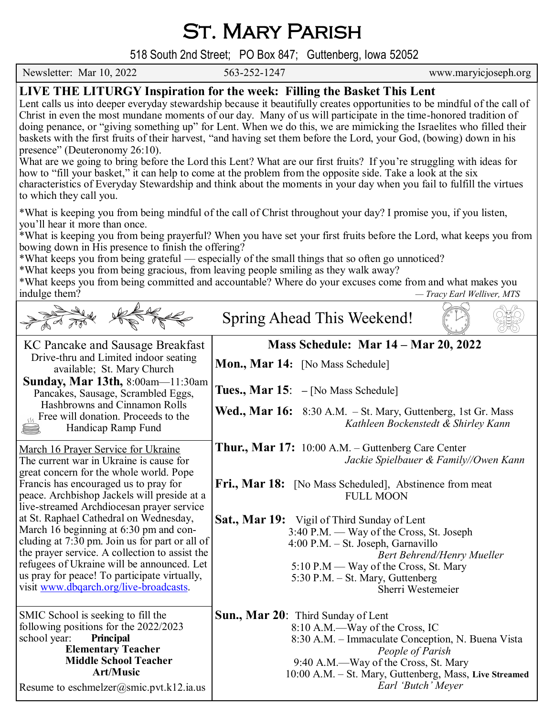St. Mary Parish

 518 South 2nd Street; PO Box 847; Guttenberg, Iowa 52052 Newsletter: Mar 10, 2022 563-252-1247 www.maryicjoseph.org **LIVE THE LITURGY Inspiration for the week: Filling the Basket This Lent** Lent calls us into deeper everyday stewardship because it beautifully creates opportunities to be mindful of the call of Christ in even the most mundane moments of our day. Many of us will participate in the time-honored tradition of doing penance, or "giving something up" for Lent. When we do this, we are mimicking the Israelites who filled their baskets with the first fruits of their harvest, "and having set them before the Lord, your God, (bowing) down in his presence" (Deuteronomy 26:10). What are we going to bring before the Lord this Lent? What are our first fruits? If you're struggling with ideas for how to "fill your basket," it can help to come at the problem from the opposite side. Take a look at the six characteristics of Everyday Stewardship and think about the moments in your day when you fail to fulfill the virtues to which they call you. \*What is keeping you from being mindful of the call of Christ throughout your day? I promise you, if you listen, you'll hear it more than once. \*What is keeping you from being prayerful? When you have set your first fruits before the Lord, what keeps you from bowing down in His presence to finish the offering? \*What keeps you from being grateful — especially of the small things that so often go unnoticed? \*What keeps you from being gracious, from leaving people smiling as they walk away? \*What keeps you from being committed and accountable? Where do your excuses come from and what makes you indulge them? *— Tracy Earl Welliver, MTS* Spring Ahead This Weekend!**Mass Schedule: Mar 14 – Mar 20, 2022** KC Pancake and Sausage Breakfast Drive-thru and Limited indoor seating **Mon., Mar 14:** [No Mass Schedule] available; St. Mary Church **Sunday, Mar 13th,** 8:00am—11:30am **Tues., Mar 15**: **–** [No Mass Schedule] Pancakes, Sausage, Scrambled Eggs, Hashbrowns and Cinnamon Rolls Wed., Mar 16: 8:30 A.M. - St. Mary, Guttenberg, 1st Gr. Mass <sub>555</sub> Free will donation. Proceeds to the *Kathleen Bockenstedt & Shirley Kann* Handicap Ramp Fund <u>ei</u> **Thur., Mar 17:** 10:00 A.M. – Guttenberg Care Center March 16 Prayer Service for Ukraine *Jackie Spielbauer & Family//Owen Kann* The current war in Ukraine is cause for great concern for the whole world. Pope Fri., Mar 18: [No Mass Scheduled], Abstinence from meat Francis has encouraged us to pray for peace. Archbishop Jackels will preside at a FULL MOON live-streamed Archdiocesan prayer service at St. Raphael Cathedral on Wednesday, **Sat., Mar 19:** Vigil of Third Sunday of Lent March 16 beginning at 6:30 pm and con- 3:40 P.M. — Way of the Cross, St. Joseph cluding at 7:30 pm. Join us for part or all of 4:00 P.M. – St. Joseph, Garnavillo the prayer service. A collection to assist the *Bert Behrend/Henry Mueller* refugees of Ukraine will be announced. Let 5:10 P.M — Way of the Cross, St. Mary us pray for peace! To participate virtually, 5:30 P.M. – St. Mary, Guttenberg visit [www.dbqarch.org/live](http://www.dbqarch.org/live-broadcasts)-broadcasts. Sherri Westemeier SMIC School is seeking to fill the **Sun., Mar 20**: Third Sunday of Lent following positions for the 2022/2023

school year: **Principal** 

 **Elementary Teacher Middle School Teacher Art/Music** Resume to eschmelzer@smic.pvt.k12.ia.us

 8:10 A.M.—Way of the Cross, IC 8:30 A.M. – Immaculate Conception, N. Buena Vista *People of Parish* 9:40 A.M.—Way of the Cross, St. Mary 10:00 A.M. – St. Mary, Guttenberg, Mass, **Live Streamed** *Earl 'Butch' Meyer*